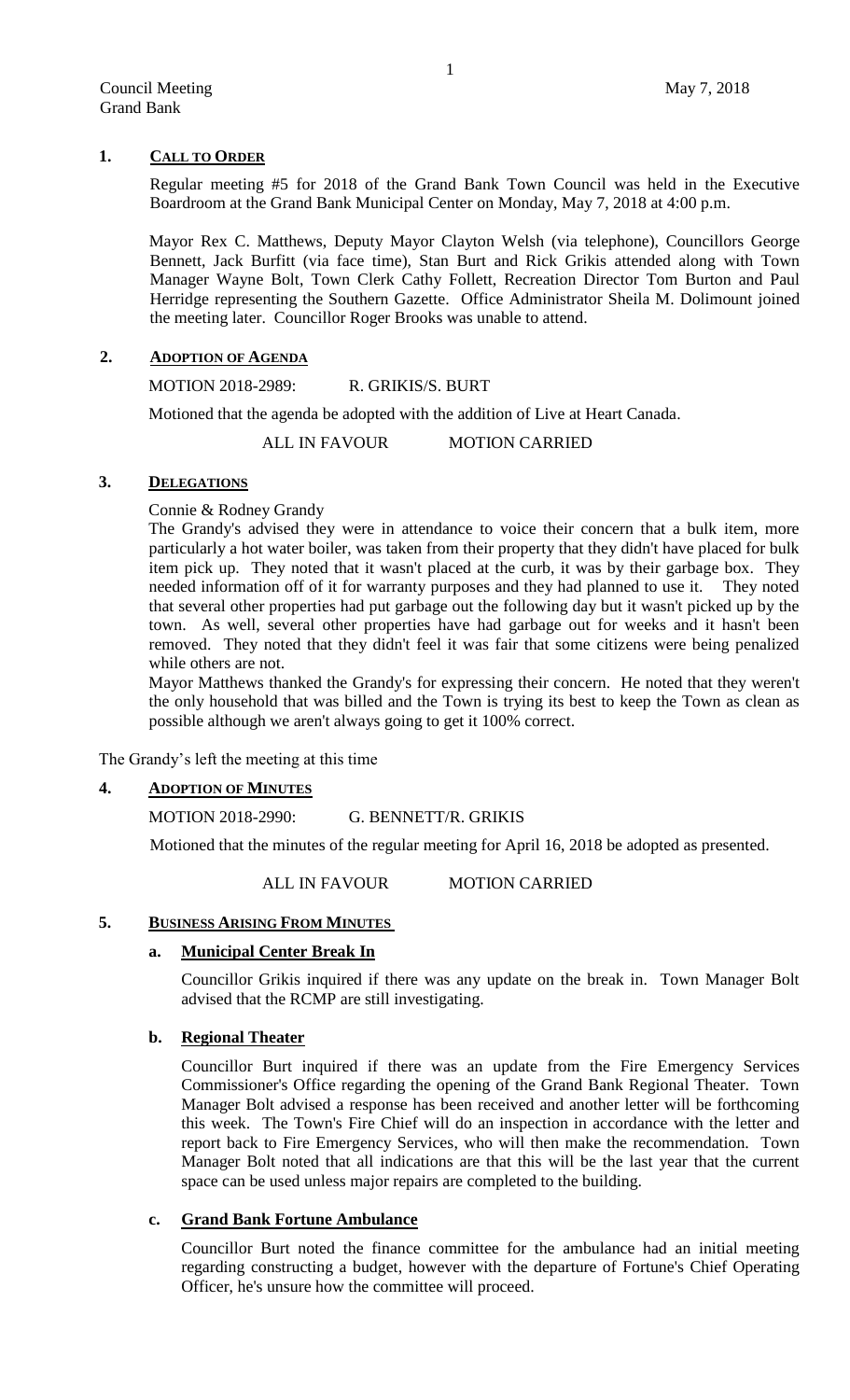## **1. CALL TO ORDER**

Regular meeting #5 for 2018 of the Grand Bank Town Council was held in the Executive Boardroom at the Grand Bank Municipal Center on Monday, May 7, 2018 at 4:00 p.m.

Mayor Rex C. Matthews, Deputy Mayor Clayton Welsh (via telephone), Councillors George Bennett, Jack Burfitt (via face time), Stan Burt and Rick Grikis attended along with Town Manager Wayne Bolt, Town Clerk Cathy Follett, Recreation Director Tom Burton and Paul Herridge representing the Southern Gazette. Office Administrator Sheila M. Dolimount joined the meeting later. Councillor Roger Brooks was unable to attend.

## **2. ADOPTION OF AGENDA**

MOTION 2018-2989: R. GRIKIS/S. BURT

Motioned that the agenda be adopted with the addition of Live at Heart Canada.

ALL IN FAVOUR MOTION CARRIED

### **3. DELEGATIONS**

Connie & Rodney Grandy

The Grandy's advised they were in attendance to voice their concern that a bulk item, more particularly a hot water boiler, was taken from their property that they didn't have placed for bulk item pick up. They noted that it wasn't placed at the curb, it was by their garbage box. They needed information off of it for warranty purposes and they had planned to use it. They noted that several other properties had put garbage out the following day but it wasn't picked up by the town. As well, several other properties have had garbage out for weeks and it hasn't been removed. They noted that they didn't feel it was fair that some citizens were being penalized while others are not.

Mayor Matthews thanked the Grandy's for expressing their concern. He noted that they weren't the only household that was billed and the Town is trying its best to keep the Town as clean as possible although we aren't always going to get it 100% correct.

The Grandy's left the meeting at this time

# **4. ADOPTION OF MINUTES**

MOTION 2018-2990: G. BENNETT/R. GRIKIS

Motioned that the minutes of the regular meeting for April 16, 2018 be adopted as presented.

ALL IN FAVOUR MOTION CARRIED

### **5. BUSINESS ARISING FROM MINUTES**

### **a. Municipal Center Break In**

Councillor Grikis inquired if there was any update on the break in. Town Manager Bolt advised that the RCMP are still investigating.

# **b. Regional Theater**

Councillor Burt inquired if there was an update from the Fire Emergency Services Commissioner's Office regarding the opening of the Grand Bank Regional Theater. Town Manager Bolt advised a response has been received and another letter will be forthcoming this week. The Town's Fire Chief will do an inspection in accordance with the letter and report back to Fire Emergency Services, who will then make the recommendation. Town Manager Bolt noted that all indications are that this will be the last year that the current space can be used unless major repairs are completed to the building.

# **c. Grand Bank Fortune Ambulance**

Councillor Burt noted the finance committee for the ambulance had an initial meeting regarding constructing a budget, however with the departure of Fortune's Chief Operating Officer, he's unsure how the committee will proceed.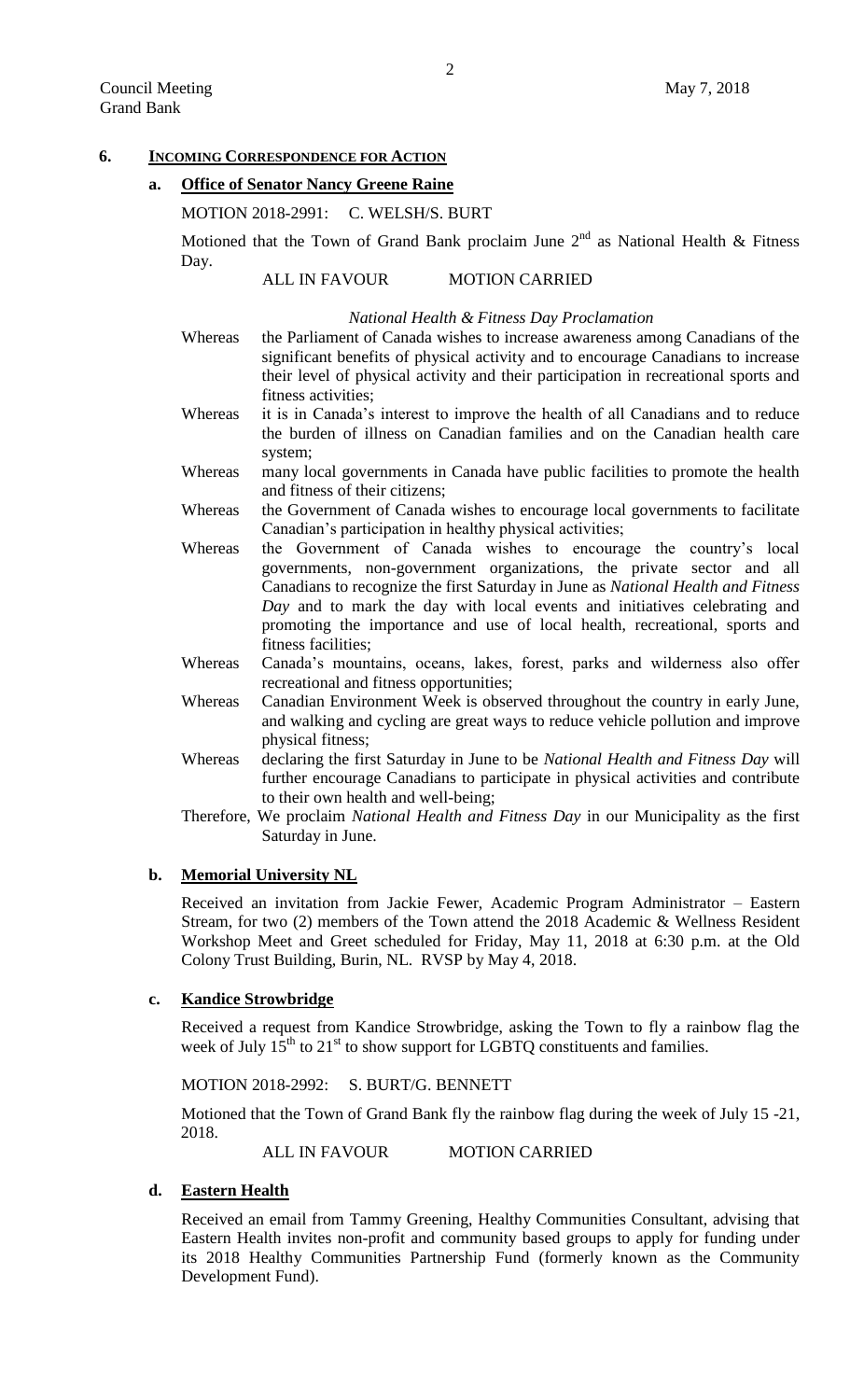# **6. INCOMING CORRESPONDENCE FOR ACTION**

# **a. Office of Senator Nancy Greene Raine**

## MOTION 2018-2991: C. WELSH/S. BURT

Motioned that the Town of Grand Bank proclaim June  $2<sup>nd</sup>$  as National Health & Fitness Day.

## ALL IN FAVOUR MOTION CARRIED

#### *National Health & Fitness Day Proclamation*

- Whereas the Parliament of Canada wishes to increase awareness among Canadians of the significant benefits of physical activity and to encourage Canadians to increase their level of physical activity and their participation in recreational sports and fitness activities;
- Whereas it is in Canada's interest to improve the health of all Canadians and to reduce the burden of illness on Canadian families and on the Canadian health care system;
- Whereas many local governments in Canada have public facilities to promote the health and fitness of their citizens;
- Whereas the Government of Canada wishes to encourage local governments to facilitate Canadian's participation in healthy physical activities;
- Whereas the Government of Canada wishes to encourage the country's local governments, non-government organizations, the private sector and all Canadians to recognize the first Saturday in June as *National Health and Fitness Day* and to mark the day with local events and initiatives celebrating and promoting the importance and use of local health, recreational, sports and fitness facilities;
- Whereas Canada's mountains, oceans, lakes, forest, parks and wilderness also offer recreational and fitness opportunities;
- Whereas Canadian Environment Week is observed throughout the country in early June, and walking and cycling are great ways to reduce vehicle pollution and improve physical fitness;
- Whereas declaring the first Saturday in June to be *National Health and Fitness Day* will further encourage Canadians to participate in physical activities and contribute to their own health and well-being;
- Therefore, We proclaim *National Health and Fitness Day* in our Municipality as the first Saturday in June.

# **b. Memorial University NL**

Received an invitation from Jackie Fewer, Academic Program Administrator – Eastern Stream, for two (2) members of the Town attend the 2018 Academic & Wellness Resident Workshop Meet and Greet scheduled for Friday, May 11, 2018 at 6:30 p.m. at the Old Colony Trust Building, Burin, NL. RVSP by May 4, 2018.

# **c. Kandice Strowbridge**

Received a request from Kandice Strowbridge, asking the Town to fly a rainbow flag the week of July  $15^{th}$  to  $21^{st}$  to show support for LGBTQ constituents and families.

MOTION 2018-2992: S. BURT/G. BENNETT

Motioned that the Town of Grand Bank fly the rainbow flag during the week of July 15 -21, 2018.

ALL IN FAVOUR MOTION CARRIED

# **d. Eastern Health**

Received an email from Tammy Greening, Healthy Communities Consultant, advising that Eastern Health invites non-profit and community based groups to apply for funding under its 2018 Healthy Communities Partnership Fund (formerly known as the Community Development Fund).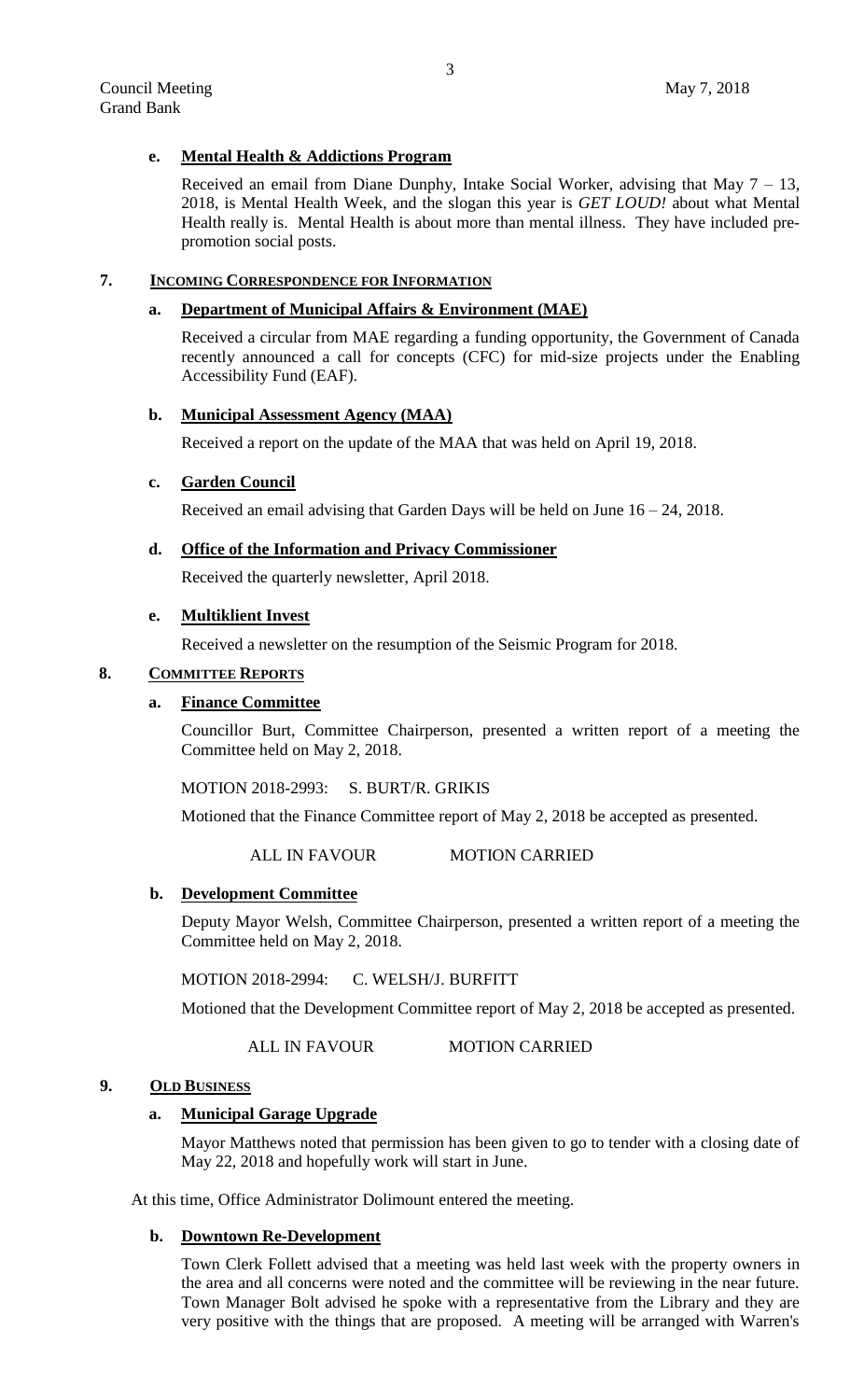# **e. Mental Health & Addictions Program**

Received an email from Diane Dunphy, Intake Social Worker, advising that May  $7 - 13$ , 2018, is Mental Health Week, and the slogan this year is *GET LOUD!* about what Mental Health really is. Mental Health is about more than mental illness. They have included prepromotion social posts.

# **7. INCOMING CORRESPONDENCE FOR INFORMATION**

# **a. Department of Municipal Affairs & Environment (MAE)**

Received a circular from MAE regarding a funding opportunity, the Government of Canada recently announced a call for concepts (CFC) for mid-size projects under the Enabling Accessibility Fund (EAF).

## **b. Municipal Assessment Agency (MAA)**

Received a report on the update of the MAA that was held on April 19, 2018.

## **c. Garden Council**

Received an email advising that Garden Days will be held on June 16 – 24, 2018.

## **d. Office of the Information and Privacy Commissioner**

Received the quarterly newsletter, April 2018.

# **e. Multiklient Invest**

Received a newsletter on the resumption of the Seismic Program for 2018.

# **8. COMMITTEE REPORTS**

### **a. Finance Committee**

Councillor Burt, Committee Chairperson, presented a written report of a meeting the Committee held on May 2, 2018.

MOTION 2018-2993: S. BURT/R. GRIKIS

Motioned that the Finance Committee report of May 2, 2018 be accepted as presented.

ALL IN FAVOUR MOTION CARRIED

#### **b. Development Committee**

Deputy Mayor Welsh, Committee Chairperson, presented a written report of a meeting the Committee held on May 2, 2018.

MOTION 2018-2994: C. WELSH/J. BURFITT

Motioned that the Development Committee report of May 2, 2018 be accepted as presented.

ALL IN FAVOUR MOTION CARRIED

## **9. OLD BUSINESS**

# **a. Municipal Garage Upgrade**

Mayor Matthews noted that permission has been given to go to tender with a closing date of May 22, 2018 and hopefully work will start in June.

At this time, Office Administrator Dolimount entered the meeting.

#### **b. Downtown Re-Development**

Town Clerk Follett advised that a meeting was held last week with the property owners in the area and all concerns were noted and the committee will be reviewing in the near future. Town Manager Bolt advised he spoke with a representative from the Library and they are very positive with the things that are proposed. A meeting will be arranged with Warren's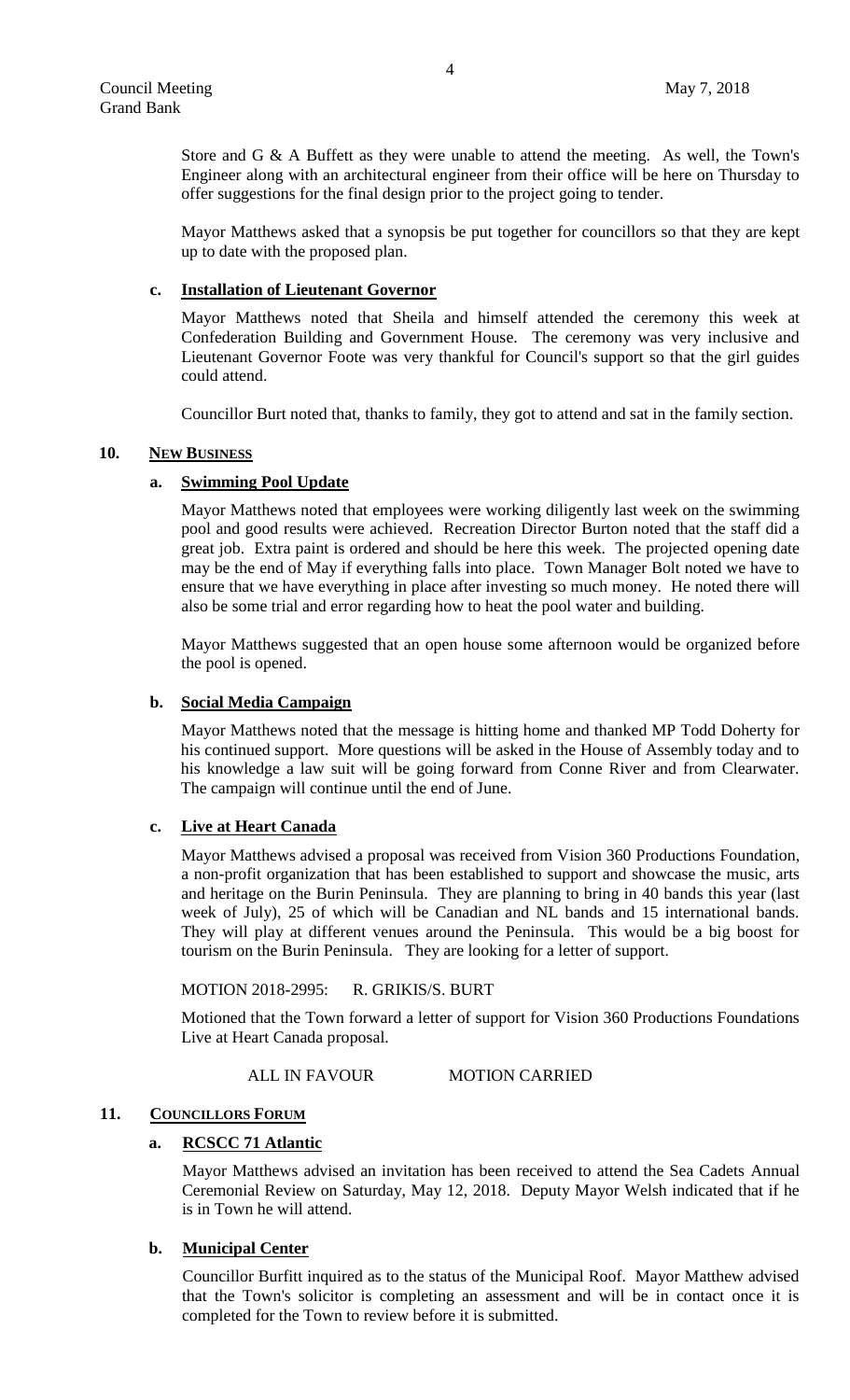Store and G  $\&$  A Buffett as they were unable to attend the meeting. As well, the Town's Engineer along with an architectural engineer from their office will be here on Thursday to offer suggestions for the final design prior to the project going to tender.

Mayor Matthews asked that a synopsis be put together for councillors so that they are kept up to date with the proposed plan.

#### **c. Installation of Lieutenant Governor**

Mayor Matthews noted that Sheila and himself attended the ceremony this week at Confederation Building and Government House. The ceremony was very inclusive and Lieutenant Governor Foote was very thankful for Council's support so that the girl guides could attend.

Councillor Burt noted that, thanks to family, they got to attend and sat in the family section.

## 10. **NEW BUSINESS**

## **a. Swimming Pool Update**

Mayor Matthews noted that employees were working diligently last week on the swimming pool and good results were achieved. Recreation Director Burton noted that the staff did a great job. Extra paint is ordered and should be here this week. The projected opening date may be the end of May if everything falls into place. Town Manager Bolt noted we have to ensure that we have everything in place after investing so much money. He noted there will also be some trial and error regarding how to heat the pool water and building.

Mayor Matthews suggested that an open house some afternoon would be organized before the pool is opened.

#### **b. Social Media Campaign**

Mayor Matthews noted that the message is hitting home and thanked MP Todd Doherty for his continued support. More questions will be asked in the House of Assembly today and to his knowledge a law suit will be going forward from Conne River and from Clearwater. The campaign will continue until the end of June.

## **c. Live at Heart Canada**

Mayor Matthews advised a proposal was received from Vision 360 Productions Foundation, a non-profit organization that has been established to support and showcase the music, arts and heritage on the Burin Peninsula. They are planning to bring in 40 bands this year (last week of July), 25 of which will be Canadian and NL bands and 15 international bands. They will play at different venues around the Peninsula. This would be a big boost for tourism on the Burin Peninsula. They are looking for a letter of support.

#### MOTION 2018-2995: R. GRIKIS/S. BURT

Motioned that the Town forward a letter of support for Vision 360 Productions Foundations Live at Heart Canada proposal.

## ALL IN FAVOUR MOTION CARRIED

#### 11. **COUNCILLORS FORUM**

#### **a. RCSCC 71 Atlantic**

Mayor Matthews advised an invitation has been received to attend the Sea Cadets Annual Ceremonial Review on Saturday, May 12, 2018. Deputy Mayor Welsh indicated that if he is in Town he will attend.

# **b. Municipal Center**

Councillor Burfitt inquired as to the status of the Municipal Roof. Mayor Matthew advised that the Town's solicitor is completing an assessment and will be in contact once it is completed for the Town to review before it is submitted.